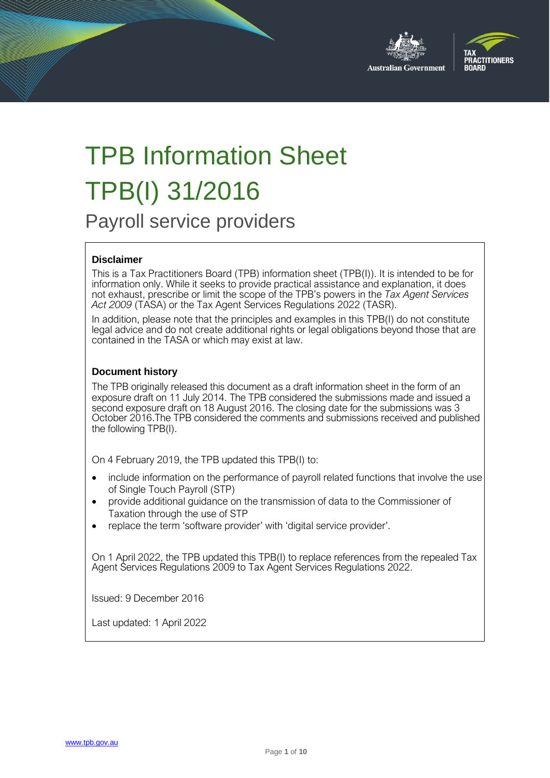



# TPB Information Sheet TPB(I) 31/2016

Payroll service providers

#### **Disclaimer**

This is a Tax Practitioners Board (TPB) information sheet (TPB(I)). It is intended to be for information only. While it seeks to provide practical assistance and explanation, it does not exhaust, prescribe or limit the scope of the TPB's powers in the *Tax Agent Services Act 2009* (TASA) or the Tax Agent Services Regulations 2022 (TASR).

In addition, please note that the principles and examples in this TPB(I) do not constitute legal advice and do not create additional rights or legal obligations beyond those that are contained in the TASA or which may exist at law.

#### **Document history**

The TPB originally released this document as a draft information sheet in the form of an exposure draft on 11 July 2014. The TPB considered the submissions made and issued a second exposure draft on 18 August 2016. The closing date for the submissions was 3 October 2016.The TPB considered the comments and submissions received and published the following TPB(I).

On 4 February 2019, the TPB updated this TPB(I) to:

- include information on the performance of payroll related functions that involve the use of Single Touch Payroll (STP)
- provide additional guidance on the transmission of data to the Commissioner of Taxation through the use of STP
- replace the term 'software provider' with 'digital service provider'.

On 1 April 2022, the TPB updated this TPB(I) to replace references from the repealed Tax Agent Services Regulations 2009 to Tax Agent Services Regulations 2022.

Issued: 9 December 2016

Last updated: 1 April 2022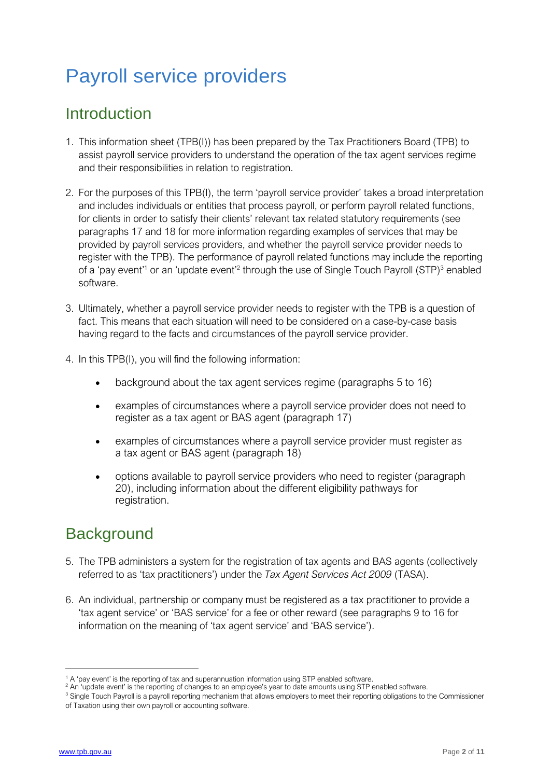## Payroll service providers

### Introduction

- 1. This information sheet (TPB(I)) has been prepared by the Tax Practitioners Board (TPB) to assist payroll service providers to understand the operation of the tax agent services regime and their responsibilities in relation to registration.
- 2. For the purposes of this TPB(I), the term 'payroll service provider' takes a broad interpretation and includes individuals or entities that process payroll, or perform payroll related functions, for clients in order to satisfy their clients' relevant tax related statutory requirements (see paragraphs 17 and 18 for more information regarding examples of services that may be provided by payroll services providers, and whether the payroll service provider needs to register with the TPB). The performance of payroll related functions may include the reporting of a 'pay event'<sup>1</sup> or an 'update event'<sup>2</sup> through the use of Single Touch Payroll (STP)<sup>3</sup> enabled software.
- 3. Ultimately, whether a payroll service provider needs to register with the TPB is a question of fact. This means that each situation will need to be considered on a case-by-case basis having regard to the facts and circumstances of the payroll service provider.
- 4. In this TPB(I), you will find the following information:
	- background about the tax agent services regime (paragraphs 5 to 16)
	- examples of circumstances where a payroll service provider does not need to register as a tax agent or BAS agent (paragraph 17)
	- examples of circumstances where a payroll service provider must register as a tax agent or BAS agent (paragraph 18)
	- options available to payroll service providers who need to register (paragraph 20), including information about the different eligibility pathways for registration.

### **Background**

- 5. The TPB administers a system for the registration of tax agents and BAS agents (collectively referred to as 'tax practitioners') under the *Tax Agent Services Act 2009* (TASA).
- 6. An individual, partnership or company must be registered as a tax practitioner to provide a 'tax agent service' or 'BAS service' for a fee or other reward (see paragraphs 9 to 16 for information on the meaning of 'tax agent service' and 'BAS service').

<sup>1</sup> A 'pay event' is the reporting of tax and superannuation information using STP enabled software.

<sup>&</sup>lt;sup>2</sup> An 'update event' is the reporting of changes to an employee's year to date amounts using STP enabled software.

<sup>&</sup>lt;sup>3</sup> Single Touch Payroll is a payroll reporting mechanism that allows employers to meet their reporting obligations to the Commissioner of Taxation using their own payroll or accounting software.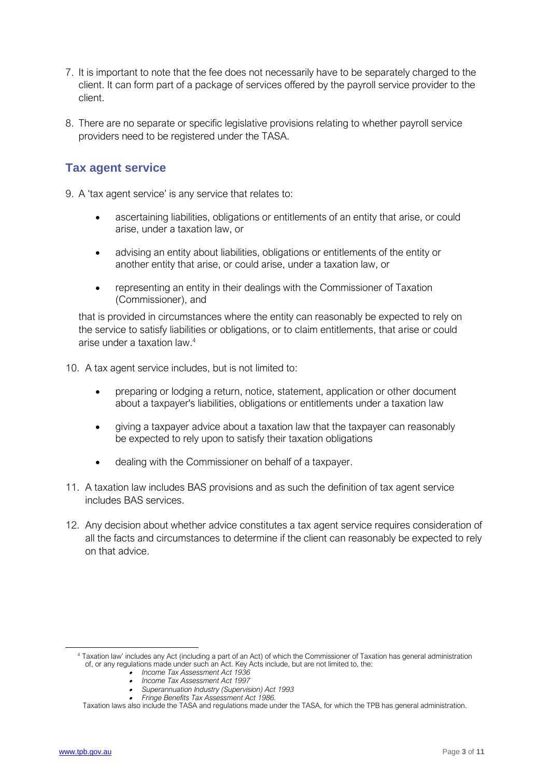- 7. It is important to note that the fee does not necessarily have to be separately charged to the client. It can form part of a package of services offered by the payroll service provider to the client.
- 8. There are no separate or specific legislative provisions relating to whether payroll service providers need to be registered under the TASA.

#### **Tax agent service**

- 9. A 'tax agent service' is any service that relates to:
	- ascertaining liabilities, obligations or entitlements of an entity that arise, or could arise, under a taxation law, or
	- advising an entity about liabilities, obligations or entitlements of the entity or another entity that arise, or could arise, under a taxation law, or
	- representing an entity in their dealings with the Commissioner of Taxation (Commissioner), and

that is provided in circumstances where the entity can reasonably be expected to rely on the service to satisfy liabilities or obligations, or to claim entitlements, that arise or could arise under a taxation law. 4

10. A tax agent service includes, but is not limited to:

- preparing or lodging a return, notice, statement, application or other document about a taxpayer's liabilities, obligations or entitlements under a taxation law
- giving a taxpayer advice about a taxation law that the taxpayer can reasonably be expected to rely upon to satisfy their taxation obligations
- dealing with the Commissioner on behalf of a taxpayer.
- 11. A taxation law includes BAS provisions and as such the definition of tax agent service includes BAS services.
- 12. Any decision about whether advice constitutes a tax agent service requires consideration of all the facts and circumstances to determine if the client can reasonably be expected to rely on that advice.

- *Income Tax Assessment Act 1936*
- *Income Tax Assessment Act 1997*
- *Superannuation Industry (Supervision) Act 1993*
- • *Fringe Benefits Tax Assessment Act 1986.* Taxation laws also include the TASA and regulations made under the TASA, for which the TPB has general administration.

<sup>&</sup>lt;sup>4</sup> Taxation law' includes any Act (including a part of an Act) of which the Commissioner of Taxation has general administration of, or any regulations made under such an Act. Key Acts include, but are not limited to, the: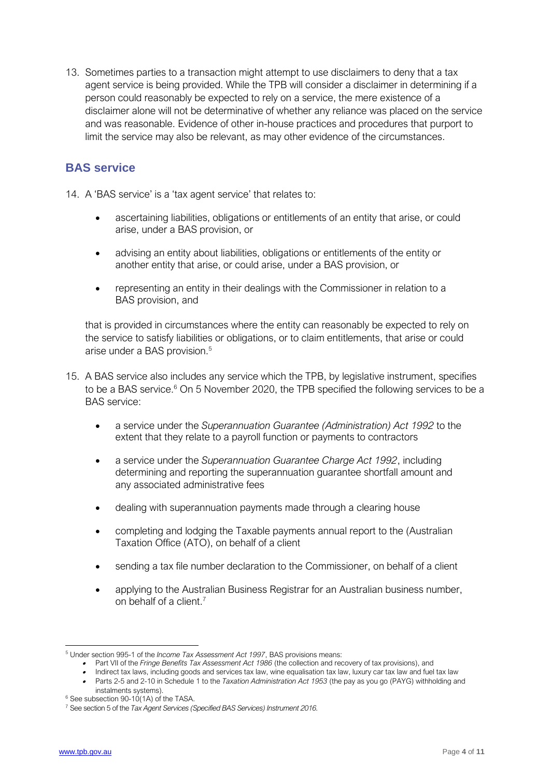13. Sometimes parties to a transaction might attempt to use disclaimers to deny that a tax agent service is being provided. While the TPB will consider a disclaimer in determining if a person could reasonably be expected to rely on a service, the mere existence of a disclaimer alone will not be determinative of whether any reliance was placed on the service and was reasonable. Evidence of other in-house practices and procedures that purport to limit the service may also be relevant, as may other evidence of the circumstances.

#### **BAS service**

- 14. A 'BAS service' is a 'tax agent service' that relates to:
	- ascertaining liabilities, obligations or entitlements of an entity that arise, or could arise, under a BAS provision, or
	- advising an entity about liabilities, obligations or entitlements of the entity or another entity that arise, or could arise, under a BAS provision, or
	- representing an entity in their dealings with the Commissioner in relation to a BAS provision, and

that is provided in circumstances where the entity can reasonably be expected to rely on the service to satisfy liabilities or obligations, or to claim entitlements, that arise or could arise under a BAS provision.<sup>5</sup>

- 15. A BAS service also includes any service which the TPB, by legislative instrument, specifies to be a BAS service.<sup>6</sup> On 5 November 2020, the TPB specified the following services to be a BAS service:
	- a service under the *Superannuation Guarantee (Administration) Act 1992* to the extent that they relate to a payroll function or payments to contractors
	- a service under the *Superannuation Guarantee Charge Act 1992*, including determining and reporting the superannuation guarantee shortfall amount and any associated administrative fees
	- dealing with superannuation payments made through a clearing house
	- completing and lodging the Taxable payments annual report to the (Australian Taxation Office (ATO), on behalf of a client
	- sending a tax file number declaration to the Commissioner, on behalf of a client
	- applying to the Australian Business Registrar for an Australian business number, on behalf of a client.<sup>7</sup>

<sup>5</sup> Under section 995-1 of the *Income Tax Assessment Act 1997*, BAS provisions means:

<sup>•</sup> Part VII of the *Fringe Benefits Tax Assessment Act 1986* (the collection and recovery of tax provisions), and

<sup>•</sup> Indirect tax laws, including goods and services tax law, wine equalisation tax law, luxury car tax law and fuel tax law

<sup>•</sup> Parts 2-5 and 2-10 in Schedule 1 to the *Taxation Administration Act 1953* (the pay as you go (PAYG) withholding and instalments systems).

 $6$  See subsection 90-10(1A) of the TASA.

<sup>7</sup> See section 5 of the *Tax Agent Services (Specified BAS Services) Instrument 2016.*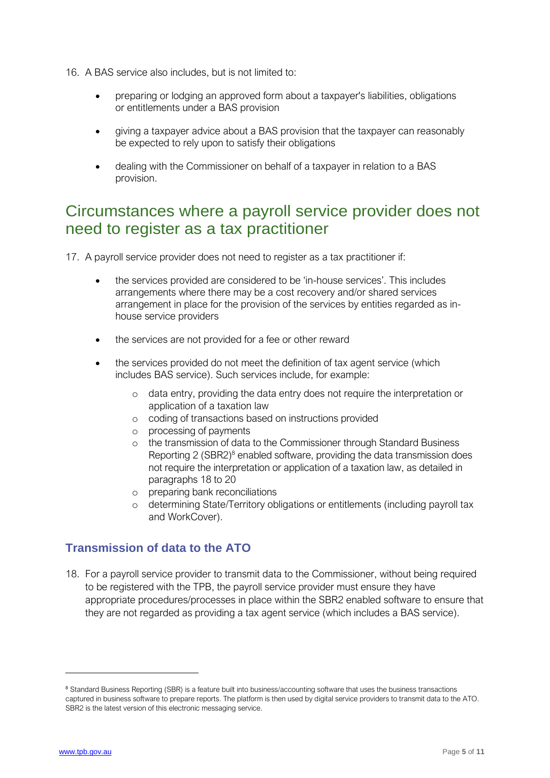- 16. A BAS service also includes, but is not limited to:
	- preparing or lodging an approved form about a taxpayer's liabilities, obligations or entitlements under a BAS provision
	- giving a taxpayer advice about a BAS provision that the taxpayer can reasonably be expected to rely upon to satisfy their obligations
	- dealing with the Commissioner on behalf of a taxpayer in relation to a BAS provision.

### Circumstances where a payroll service provider does not need to register as a tax practitioner

17. A payroll service provider does not need to register as a tax practitioner if:

- the services provided are considered to be 'in-house services'. This includes arrangements where there may be a cost recovery and/or shared services arrangement in place for the provision of the services by entities regarded as inhouse service providers
- the services are not provided for a fee or other reward
- the services provided do not meet the definition of tax agent service (which includes BAS service). Such services include, for example:
	- o data entry, providing the data entry does not require the interpretation or application of a taxation law
	- o coding of transactions based on instructions provided
	- o processing of payments
	- o the transmission of data to the Commissioner through Standard Business Reporting  $2$  (SBR2)<sup>8</sup> enabled software, providing the data transmission does not require the interpretation or application of a taxation law, as detailed in paragraphs 18 to 20
	- o preparing bank reconciliations
	- o determining State/Territory obligations or entitlements (including payroll tax and WorkCover).

#### **Transmission of data to the ATO**

18. For a payroll service provider to transmit data to the Commissioner, without being required to be registered with the TPB, the payroll service provider must ensure they have appropriate procedures/processes in place within the SBR2 enabled software to ensure that they are not regarded as providing a tax agent service (which includes a BAS service).

<sup>&</sup>lt;sup>8</sup> Standard Business Reporting (SBR) is a feature built into business/accounting software that uses the business transactions captured in business software to prepare reports. The platform is then used by digital service providers to transmit data to the ATO. SBR2 is the latest version of this electronic messaging service.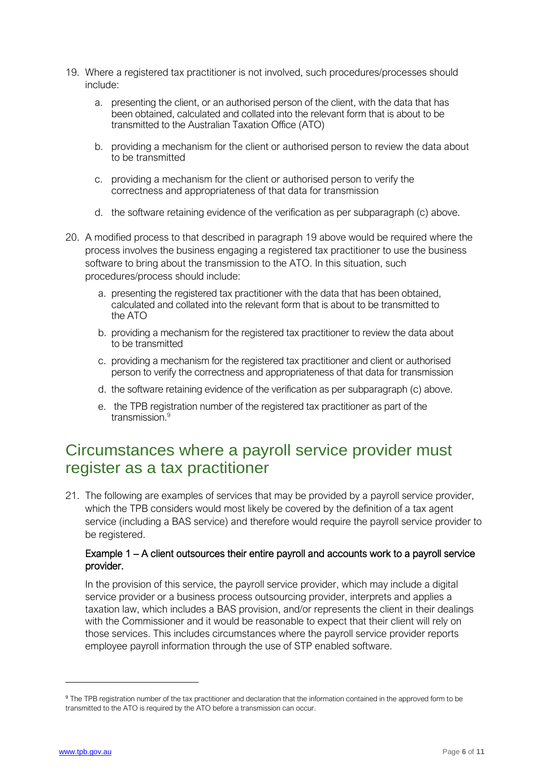- 19. Where a registered tax practitioner is not involved, such procedures/processes should include:
	- a. presenting the client, or an authorised person of the client, with the data that has been obtained, calculated and collated into the relevant form that is about to be transmitted to the Australian Taxation Office (ATO)
	- b. providing a mechanism for the client or authorised person to review the data about to be transmitted
	- c. providing a mechanism for the client or authorised person to verify the correctness and appropriateness of that data for transmission
	- d. the software retaining evidence of the verification as per subparagraph (c) above.
- 20. A modified process to that described in paragraph 19 above would be required where the process involves the business engaging a registered tax practitioner to use the business software to bring about the transmission to the ATO. In this situation, such procedures/process should include:
	- a. presenting the registered tax practitioner with the data that has been obtained, calculated and collated into the relevant form that is about to be transmitted to the ATO
	- b. providing a mechanism for the registered tax practitioner to review the data about to be transmitted
	- c. providing a mechanism for the registered tax practitioner and client or authorised person to verify the correctness and appropriateness of that data for transmission
	- d. the software retaining evidence of the verification as per subparagraph (c) above.
	- e. the TPB registration number of the registered tax practitioner as part of the transmission.<sup>9</sup>

### Circumstances where a payroll service provider must register as a tax practitioner

21. The following are examples of services that may be provided by a payroll service provider, which the TPB considers would most likely be covered by the definition of a tax agent service (including a BAS service) and therefore would require the payroll service provider to be registered.

#### Example 1 – A client outsources their entire payroll and accounts work to a payroll service provider.

In the provision of this service, the payroll service provider, which may include a digital service provider or a business process outsourcing provider, interprets and applies a taxation law, which includes a BAS provision, and/or represents the client in their dealings with the Commissioner and it would be reasonable to expect that their client will rely on those services. This includes circumstances where the payroll service provider reports employee payroll information through the use of STP enabled software.

<sup>9</sup> The TPB registration number of the tax practitioner and declaration that the information contained in the approved form to be transmitted to the ATO is required by the ATO before a transmission can occur.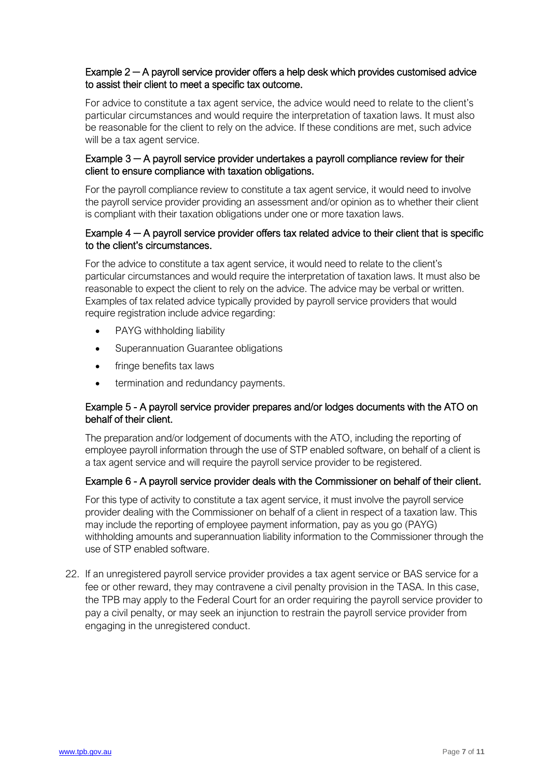#### Example 2 **─** A payroll service provider offers a help desk which provides customised advice to assist their client to meet a specific tax outcome.

For advice to constitute a tax agent service, the advice would need to relate to the client's particular circumstances and would require the interpretation of taxation laws. It must also be reasonable for the client to rely on the advice. If these conditions are met, such advice will be a tax agent service.

#### Example 3 **─** A payroll service provider undertakes a payroll compliance review for their client to ensure compliance with taxation obligations.

For the payroll compliance review to constitute a tax agent service, it would need to involve the payroll service provider providing an assessment and/or opinion as to whether their client is compliant with their taxation obligations under one or more taxation laws.

#### Example 4 **─** A payroll service provider offers tax related advice to their client that is specific to the client's circumstances.

For the advice to constitute a tax agent service, it would need to relate to the client's particular circumstances and would require the interpretation of taxation laws. It must also be reasonable to expect the client to rely on the advice. The advice may be verbal or written. Examples of tax related advice typically provided by payroll service providers that would require registration include advice regarding:

- PAYG withholding liability
- Superannuation Guarantee obligations
- fringe benefits tax laws
- termination and redundancy payments.

#### Example 5 - A payroll service provider prepares and/or lodges documents with the ATO on behalf of their client.

The preparation and/or lodgement of documents with the ATO, including the reporting of employee payroll information through the use of STP enabled software, on behalf of a client is a tax agent service and will require the payroll service provider to be registered.

#### Example 6 - A payroll service provider deals with the Commissioner on behalf of their client.

For this type of activity to constitute a tax agent service, it must involve the payroll service provider dealing with the Commissioner on behalf of a client in respect of a taxation law. This may include the reporting of employee payment information, pay as you go (PAYG) withholding amounts and superannuation liability information to the Commissioner through the use of STP enabled software.

22. If an unregistered payroll service provider provides a tax agent service or BAS service for a fee or other reward, they may contravene a civil penalty provision in the TASA. In this case, the TPB may apply to the Federal Court for an order requiring the payroll service provider to pay a civil penalty, or may seek an injunction to restrain the payroll service provider from engaging in the unregistered conduct.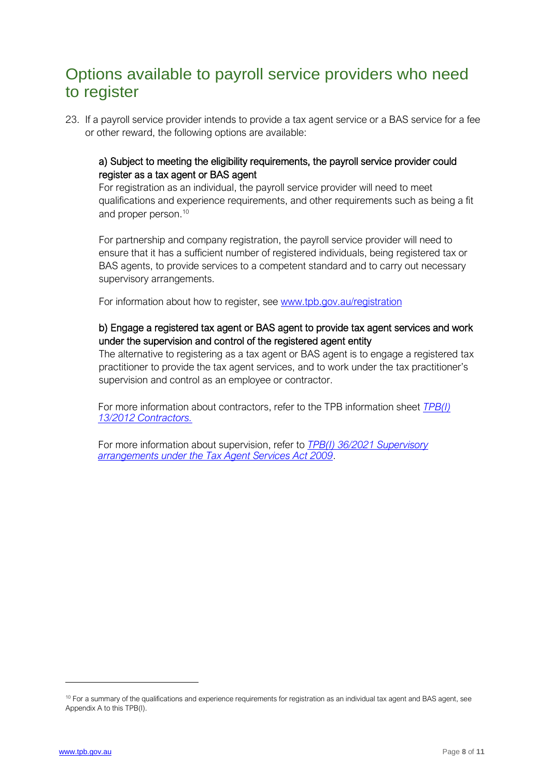### Options available to payroll service providers who need to register

23. If a payroll service provider intends to provide a tax agent service or a BAS service for a fee or other reward, the following options are available:

#### a) Subject to meeting the eligibility requirements, the payroll service provider could register as a tax agent or BAS agent

For registration as an individual, the payroll service provider will need to meet qualifications and experience requirements, and other requirements such as being a fit and proper person. 10

For partnership and company registration, the payroll service provider will need to ensure that it has a sufficient number of registered individuals, being registered tax or BAS agents, to provide services to a competent standard and to carry out necessary supervisory arrangements.

For information about how to register, see [www.tpb.gov.au/registration](http://www.tpb.gov.au/registration)

#### b) Engage a registered tax agent or BAS agent to provide tax agent services and work under the supervision and control of the registered agent entity

The alternative to registering as a tax agent or BAS agent is to engage a registered tax practitioner to provide the tax agent services, and to work under the tax practitioner's supervision and control as an employee or contractor.

For more information about contractors, refer to the TPB information sheet *[TPB\(I\)](https://www.tpb.gov.au/contractors-tpb-information-sheet-tpbi-132012)  [13/2012 Contractors.](https://www.tpb.gov.au/contractors-tpb-information-sheet-tpbi-132012)*

For more information about supervision, refer to *[TPB\(I\) 36/2021 Supervisory](https://www.tpb.gov.au/tpbi-362021-supervisory-arrangements-under-tax-agent-services-act-2009)  [arrangements under the Tax Agent Services Act 2009](https://www.tpb.gov.au/tpbi-362021-supervisory-arrangements-under-tax-agent-services-act-2009)*.

 $10$  For a summary of the qualifications and experience requirements for registration as an individual tax agent and BAS agent, see Appendix A to this TPB(I).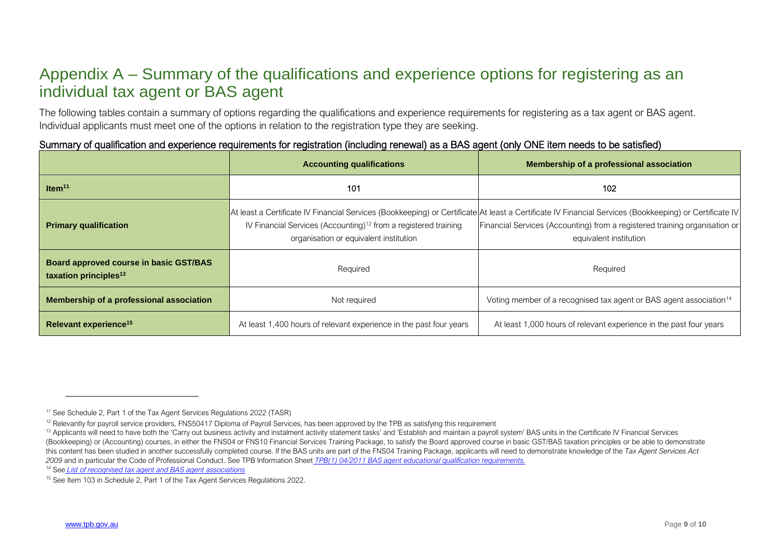### Appendix A – Summary of the qualifications and experience options for registering as an individual tax agent or BAS agent

The following tables contain a summary of options regarding the qualifications and experience requirements for registering as a tax agent or BAS agent. Individual applicants must meet one of the options in relation to the registration type they are seeking.

#### Summary of qualification and experience requirements for registration (including renewal) as a BAS agent (only ONE item needs to be satisfied)

|                                                                             | <b>Accounting qualifications</b>                                                                                      | Membership of a professional association                                                                                                                                                                                                                       |  |  |
|-----------------------------------------------------------------------------|-----------------------------------------------------------------------------------------------------------------------|----------------------------------------------------------------------------------------------------------------------------------------------------------------------------------------------------------------------------------------------------------------|--|--|
| Item $11$                                                                   | 101                                                                                                                   | 102                                                                                                                                                                                                                                                            |  |  |
| <b>Primary qualification</b>                                                | IV Financial Services (Accounting) <sup>12</sup> from a registered training<br>organisation or equivalent institution | At least a Certificate IV Financial Services (Bookkeeping) or Certificate At least a Certificate IV Financial Services (Bookkeeping) or Certificate IV<br>Financial Services (Accounting) from a registered training organisation or<br>equivalent institution |  |  |
| Board approved course in basic GST/BAS<br>taxation principles <sup>13</sup> | Required                                                                                                              | Required                                                                                                                                                                                                                                                       |  |  |
| Membership of a professional association                                    | Not required                                                                                                          | Voting member of a recognised tax agent or BAS agent association <sup>14</sup>                                                                                                                                                                                 |  |  |
| Relevant experience <sup>15</sup>                                           | At least 1,400 hours of relevant experience in the past four years                                                    | At least 1,000 hours of relevant experience in the past four years                                                                                                                                                                                             |  |  |

<sup>14</sup> See *List of recognised [tax agent and BAS agent associations](https://www.tpb.gov.au/recognised-professional-associations)*

<sup>&</sup>lt;sup>11</sup> See Schedule 2, Part 1 of the Tax Agent Services Regulations 2022 (TASR)

<sup>&</sup>lt;sup>12</sup> Relevantly for payroll service providers. FNS50417 Diploma of Payroll Services, has been approved by the TPB as satisfying this requirement

<sup>&</sup>lt;sup>13</sup> Applicants will need to have both the 'Carry out business activity and instalment activity statement tasks' and 'Establish and maintain a payroll system' BAS units in the Certificate IV Financial Services (Bookkeeping) or (Accounting) courses, in either the FNS04 or FNS10 Financial Services Training Package, to satisfy the Board approved course in basic GST/BAS taxation principles or be able to demonstrate this content has been studied in another successfully completed course. If the BAS units are part of the FNS04 Training Package, applicants will need to demonstrate knowledge of the *Tax Agent Services Act 2009* and in particular the Code of Professional Conduct. See TPB Information Sheet *[TPB\(1\) 04/2011 BAS agent educational](https://www.tpb.gov.au/bas-agent-educational-qualification-requirements-tpb-information-sheet-tpbi-042011) [qualification requirements.](https://www.tpb.gov.au/bas-agent-educational-qualification-requirements-tpb-information-sheet-tpbi-042011)*

<sup>&</sup>lt;sup>15</sup> See Item 103 in Schedule 2, Part 1 of the Tax Agent Services Regulations 2022.